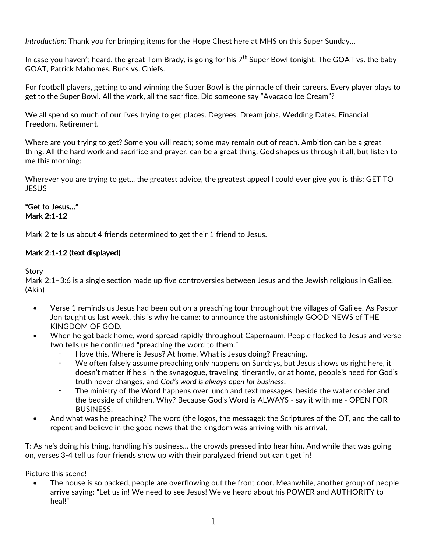*Introduction:* Thank you for bringing items for the Hope Chest here at MHS on this Super Sunday…

In case you haven't heard, the great Tom Brady, is going for his  $7<sup>th</sup>$  Super Bowl tonight. The GOAT vs. the baby GOAT, Patrick Mahomes. Bucs vs. Chiefs.

For football players, getting to and winning the Super Bowl is the pinnacle of their careers. Every player plays to get to the Super Bowl. All the work, all the sacrifice. Did someone say "Avacado Ice Cream"?

We all spend so much of our lives trying to get places. Degrees. Dream jobs. Wedding Dates. Financial Freedom. Retirement.

Where are you trying to get? Some you will reach; some may remain out of reach. Ambition can be a great thing. All the hard work and sacrifice and prayer, can be a great thing. God shapes us through it all, but listen to me this morning:

Wherever you are trying to get... the greatest advice, the greatest appeal I could ever give you is this: GET TO **JESUS** 

### "Get to Jesus…" Mark 2:1-12

Mark 2 tells us about 4 friends determined to get their 1 friend to Jesus.

## Mark 2:1-12 (text displayed)

Story

Mark 2:1–3:6 is a single section made up five controversies between Jesus and the Jewish religious in Galilee. (Akin)

- Verse 1 reminds us Jesus had been out on a preaching tour throughout the villages of Galilee. As Pastor Jon taught us last week, this is why he came: to announce the astonishingly GOOD NEWS of THE KINGDOM OF GOD.
- When he got back home, word spread rapidly throughout Capernaum. People flocked to Jesus and verse two tells us he continued "preaching the word to them."
	- I love this. Where is Jesus? At home. What is Jesus doing? Preaching.
	- ⁃ We often falsely assume preaching only happens on Sundays, but Jesus shows us right here, it doesn't matter if he's in the synagogue, traveling itinerantly, or at home, people's need for God's truth never changes, and *God's word is always open for business*!
	- The ministry of the Word happens over lunch and text messages, beside the water cooler and the bedside of children. Why? Because God's Word is ALWAYS - say it with me - OPEN FOR BUSINESS!
- And what was he preaching? The word (the logos, the message): the Scriptures of the OT, and the call to repent and believe in the good news that the kingdom was arriving with his arrival.

T: As he's doing his thing, handling his business… the crowds pressed into hear him. And while that was going on, verses 3-4 tell us four friends show up with their paralyzed friend but can't get in!

Picture this scene!

The house is so packed, people are overflowing out the front door. Meanwhile, another group of people arrive saying: "Let us in! We need to see Jesus! We've heard about his POWER and AUTHORITY to heal!"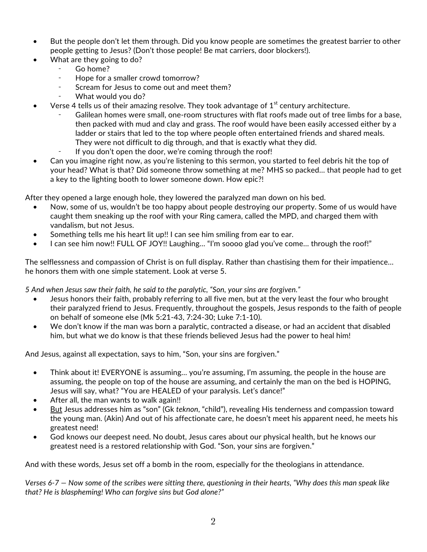- But the people don't let them through. Did you know people are sometimes the greatest barrier to other people getting to Jesus? (Don't those people! Be mat carriers, door blockers!).
- What are they going to do?
	- Go home?
	- Hope for a smaller crowd tomorrow?
	- Scream for Jesus to come out and meet them?
	- What would you do?
- Verse 4 tells us of their amazing resolve. They took advantage of  $1<sup>st</sup>$  century architecture.
	- Galilean homes were small, one-room structures with flat roofs made out of tree limbs for a base, then packed with mud and clay and grass. The roof would have been easily accessed either by a ladder or stairs that led to the top where people often entertained friends and shared meals. They were not difficult to dig through, and that is exactly what they did.
	- If you don't open the door, we're coming through the roof!
- Can you imagine right now, as you're listening to this sermon, you started to feel debris hit the top of your head? What is that? Did someone throw something at me? MHS so packed… that people had to get a key to the lighting booth to lower someone down. How epic?!

After they opened a large enough hole, they lowered the paralyzed man down on his bed.

- Now, some of us, wouldn't be too happy about people destroying our property. Some of us would have caught them sneaking up the roof with your Ring camera, called the MPD, and charged them with vandalism, but not Jesus.
- Something tells me his heart lit up!! I can see him smiling from ear to ear.
- I can see him now!! FULL OF JOY!! Laughing... "I'm soooo glad you've come... through the roof!"

The selflessness and compassion of Christ is on full display. Rather than chastising them for their impatience… he honors them with one simple statement. Look at verse 5.

*5 And when Jesus saw their faith, he said to the paralytic, "Son, your sins are forgiven."* 

- Jesus honors their faith, probably referring to all five men, but at the very least the four who brought their paralyzed friend to Jesus. Frequently, throughout the gospels, Jesus responds to the faith of people on behalf of someone else (Mk 5:21-43, 7:24-30; Luke 7:1-10).
- We don't know if the man was born a paralytic, contracted a disease, or had an accident that disabled him, but what we do know is that these friends believed Jesus had the power to heal him!

And Jesus, against all expectation, says to him, "Son, your sins are forgiven."

- Think about it! EVERYONE is assuming... you're assuming, I'm assuming, the people in the house are assuming, the people on top of the house are assuming, and certainly the man on the bed is HOPING, Jesus will say, what? "You are HEALED of your paralysis. Let's dance!"
- After all, the man wants to walk again!!
- But Jesus addresses him as "son" (Gk *teknon*, "child"), revealing His tenderness and compassion toward the young man. (Akin) And out of his affectionate care, he doesn't meet his apparent need, he meets his greatest need!
- God knows our deepest need. No doubt, Jesus cares about our physical health, but he knows our greatest need is a restored relationship with God. "Son, your sins are forgiven."

And with these words, Jesus set off a bomb in the room, especially for the theologians in attendance.

*Verses 6-7 — Now some of the scribes were sitting there, questioning in their hearts, "Why does this man speak like that? He is blaspheming! Who can forgive sins but God alone?"*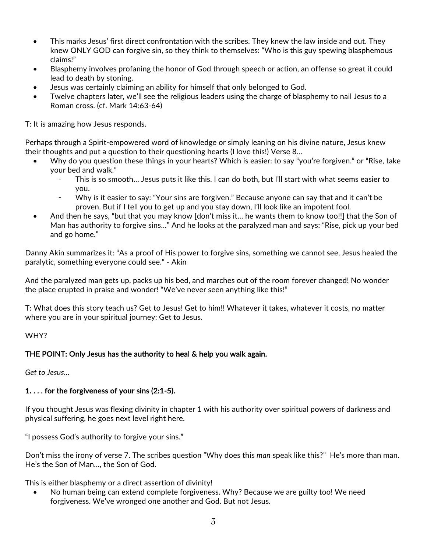- This marks Jesus' first direct confrontation with the scribes. They knew the law inside and out. They knew ONLY GOD can forgive sin, so they think to themselves: "Who is this guy spewing blasphemous claims!"
- Blasphemy involves profaning the honor of God through speech or action, an offense so great it could lead to death by stoning.
- Jesus was certainly claiming an ability for himself that only belonged to God.
- Twelve chapters later, we'll see the religious leaders using the charge of blasphemy to nail Jesus to a Roman cross. (cf. Mark 14:63-64)

T: It is amazing how Jesus responds.

Perhaps through a Spirit-empowered word of knowledge or simply leaning on his divine nature, Jesus knew their thoughts and put a question to their questioning hearts (I love this!) Verse 8…

- Why do you question these things in your hearts? Which is easier: to say "you're forgiven." or "Rise, take your bed and walk."
	- This is so smooth... Jesus puts it like this. I can do both, but I'll start with what seems easier to you.
	- Why is it easier to say: "Your sins are forgiven." Because anyone can say that and it can't be proven. But if I tell you to get up and you stay down, I'll look like an impotent fool.
- And then he says, "but that you may know [don't miss it… he wants them to know too!!] that the Son of Man has authority to forgive sins…" And he looks at the paralyzed man and says: "Rise, pick up your bed and go home."

Danny Akin summarizes it: "As a proof of His power to forgive sins, something we cannot see, Jesus healed the paralytic, something everyone could see." - Akin

And the paralyzed man gets up, packs up his bed, and marches out of the room forever changed! No wonder the place erupted in praise and wonder! "We've never seen anything like this!"

T: What does this story teach us? Get to Jesus! Get to him!! Whatever it takes, whatever it costs, no matter where you are in your spiritual journey: Get to Jesus.

### WHY?

### THE POINT: Only Jesus has the authority to heal & help you walk again.

*Get to Jesus…* 

### 1. . . . for the forgiveness of your sins (2:1-5).

If you thought Jesus was flexing divinity in chapter 1 with his authority over spiritual powers of darkness and physical suffering, he goes next level right here.

"I possess God's authority to forgive your sins."

Don't miss the irony of verse 7. The scribes question "Why does this *man* speak like this?" He's more than man. He's the Son of Man…, the Son of God.

This is either blasphemy or a direct assertion of divinity!

• No human being can extend complete forgiveness. Why? Because we are guilty too! We need forgiveness. We've wronged one another and God. But not Jesus.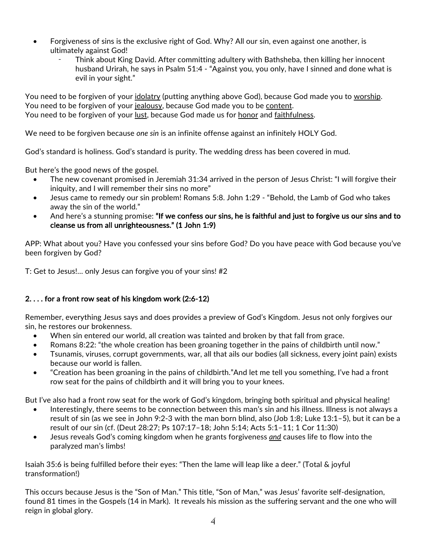- Forgiveness of sins is the exclusive right of God. Why? All our sin, even against one another, is ultimately against God!
	- Think about King David. After committing adultery with Bathsheba, then killing her innocent husband Urirah, he says in Psalm 51:4 - "Against you, you only, have I sinned and done what is evil in your sight."

You need to be forgiven of your idolatry (putting anything above God), because God made you to worship. You need to be forgiven of your jealousy, because God made you to be content. You need to be forgiven of your lust, because God made us for honor and faithfulness.

We need to be forgiven because *one sin* is an infinite offense against an infinitely HOLY God.

God's standard is holiness. God's standard is purity. The wedding dress has been covered in mud.

But here's the good news of the gospel.

- The new covenant promised in Jeremiah 31:34 arrived in the person of Jesus Christ: "I will forgive their iniquity, and I will remember their sins no more"
- Jesus came to remedy our sin problem! Romans 5:8. John 1:29 "Behold, the Lamb of God who takes away the sin of the world."
- And here's a stunning promise: "If we confess our sins, he is faithful and just to forgive us our sins and to cleanse us from all unrighteousness." (1 John 1:9)

APP: What about you? Have you confessed your sins before God? Do you have peace with God because you've been forgiven by God?

T: Get to Jesus!… only Jesus can forgive you of your sins! #2

# 2. . . . for a front row seat of his kingdom work (2:6-12)

Remember, everything Jesus says and does provides a preview of God's Kingdom. Jesus not only forgives our sin, he restores our brokenness.

- When sin entered our world, all creation was tainted and broken by that fall from grace.
- Romans 8:22: "the whole creation has been groaning together in the pains of childbirth until now."
- Tsunamis, viruses, corrupt governments, war, all that ails our bodies (all sickness, every joint pain) exists because our world is fallen.
- "Creation has been groaning in the pains of childbirth."And let me tell you something, I've had a front row seat for the pains of childbirth and it will bring you to your knees.

But I've also had a front row seat for the work of God's kingdom, bringing both spiritual and physical healing!

- Interestingly, there seems to be connection between this man's sin and his illness. Illness is not always a result of sin (as we see in John 9:2-3 with the man born blind, also (Job 1:8; Luke 13:1–5), but it can be a result of our sin (cf. (Deut 28:27; Ps 107:17–18; John 5:14; Acts 5:1–11; 1 Cor 11:30)
- Jesus reveals God's coming kingdom when he grants forgiveness *and* causes life to flow into the paralyzed man's limbs!

Isaiah 35:6 is being fulfilled before their eyes: "Then the lame will leap like a deer." (Total & joyful transformation!)

This occurs because Jesus is the "Son of Man." This title, "Son of Man," was Jesus' favorite self-designation, found 81 times in the Gospels (14 in Mark). It reveals his mission as the suffering servant and the one who will reign in global glory.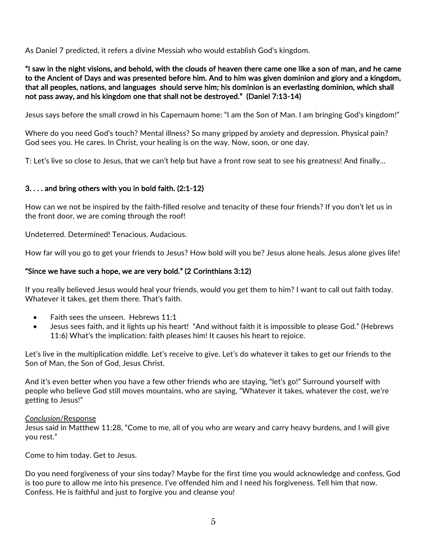As Daniel 7 predicted, it refers a divine Messiah who would establish God's kingdom.

"I saw in the night visions, and behold, with the clouds of heaven there came one like a son of man, and he came to the Ancient of Days and was presented before him. And to him was given dominion and glory and a kingdom, that all peoples, nations, and languages should serve him; his dominion is an everlasting dominion, which shall not pass away, and his kingdom one that shall not be destroyed." (Daniel 7:13-14)

Jesus says before the small crowd in his Capernaum home: "I am the Son of Man. I am bringing God's kingdom!"

Where do you need God's touch? Mental illness? So many gripped by anxiety and depression. Physical pain? God sees you. He cares. In Christ, your healing is on the way. Now, soon, or one day.

T: Let's live so close to Jesus, that we can't help but have a front row seat to see his greatness! And finally…

### 3. . . . and bring others with you in bold faith. (2:1-12)

How can we not be inspired by the faith-filled resolve and tenacity of these four friends? If you don't let us in the front door, we are coming through the roof!

Undeterred. Determined! Tenacious. Audacious.

How far will you go to get your friends to Jesus? How bold will you be? Jesus alone heals. Jesus alone gives life!

### "Since we have such a hope, we are very bold." (2 Corinthians 3:12)

If you really believed Jesus would heal your friends, would you get them to him? I want to call out faith today. Whatever it takes, get them there. That's faith.

- Faith sees the unseen. Hebrews 11:1
- Jesus sees faith, and it lights up his heart! "And without faith it is impossible to please God." (Hebrews 11:6) What's the implication: faith pleases him! It causes his heart to rejoice.

Let's live in the multiplication middle. Let's receive to give. Let's do whatever it takes to get our friends to the Son of Man, the Son of God, Jesus Christ.

And it's even better when you have a few other friends who are staying, "let's go!" Surround yourself with people who believe God still moves mountains, who are saying, "Whatever it takes, whatever the cost, we're getting to Jesus!"

#### *Conclusion*/Response

Jesus said in Matthew 11:28, "Come to me, all of you who are weary and carry heavy burdens, and I will give you rest."

Come to him today. Get to Jesus.

Do you need forgiveness of your sins today? Maybe for the first time you would acknowledge and confess, God is too pure to allow me into his presence. I've offended him and I need his forgiveness. Tell him that now. Confess. He is faithful and just to forgive you and cleanse you!